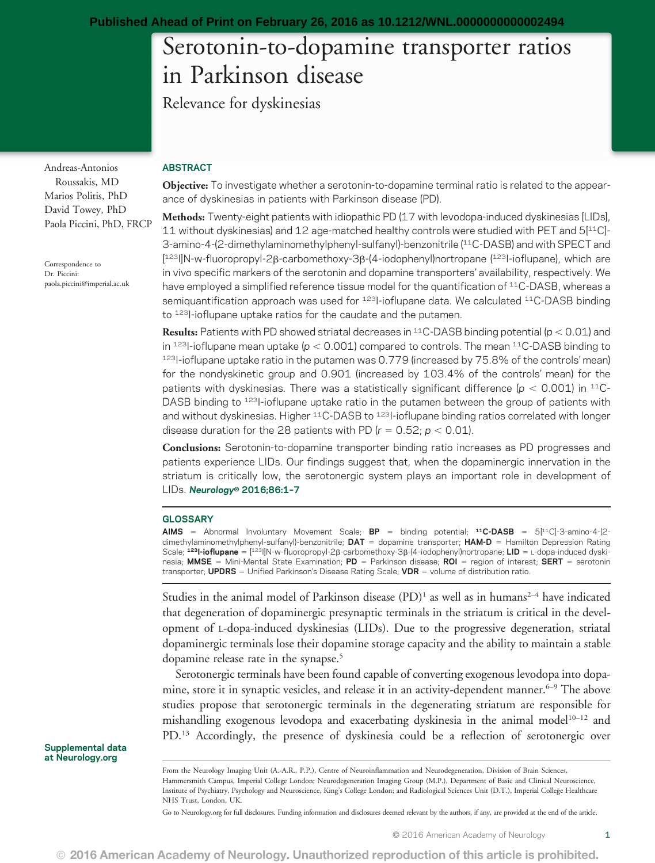# Serotonin-to-dopamine transporter ratios in Parkinson disease

Relevance for dyskinesias

Andreas-Antonios Roussakis, MD Marios Politis, PhD David Towey, PhD Paola Piccini, PhD, FRCP

Correspondence to Dr. Piccini: [paola.piccini@imperial.ac.uk](mailto:paola.piccini@imperial.ac.uk)

## ABSTRACT

Objective: To investigate whether a serotonin-to-dopamine terminal ratio is related to the appearance of dyskinesias in patients with Parkinson disease (PD).

Methods: Twenty-eight patients with idiopathic PD (17 with levodopa-induced dyskinesias [LIDs], 11 without dyskinesias) and 12 age-matched healthy controls were studied with PET and 5[11C]- 3-amino-4-(2-dimethylaminomethylphenyl-sulfanyl)-benzonitrile (11C-DASB) and with SPECT and [ 123I]N-w-fluoropropyl-2b-carbomethoxy-3b-(4-iodophenyl)nortropane (123I-ioflupane), which are in vivo specific markers of the serotonin and dopamine transporters' availability, respectively. We have employed a simplified reference tissue model for the quantification of  $^{11}$ C-DASB, whereas a semiquantification approach was used for  $1231$ -ioflupane data. We calculated  $11C$ -DASB binding to <sup>123</sup>I-ioflupane uptake ratios for the caudate and the putamen.

**Results:** Patients with PD showed striatal decreases in <sup>11</sup>C-DASB binding potential ( $p < 0.01$ ) and in <sup>123</sup>I-ioflupane mean uptake ( $p < 0.001$ ) compared to controls. The mean <sup>11</sup>C-DASB binding to <sup>123</sup>-ioflupane uptake ratio in the putamen was 0.779 (increased by 75.8% of the controls' mean) for the nondyskinetic group and 0.901 (increased by 103.4% of the controls' mean) for the patients with dyskinesias. There was a statistically significant difference ( $p < 0.001$ ) in <sup>11</sup>C-DASB binding to <sup>123</sup>I-ioflupane uptake ratio in the putamen between the group of patients with and without dyskinesias. Higher 11C-DASB to 123I-ioflupane binding ratios correlated with longer disease duration for the 28 patients with PD ( $r = 0.52$ ;  $p < 0.01$ ).

Conclusions: Serotonin-to-dopamine transporter binding ratio increases as PD progresses and patients experience LIDs. Our findings suggest that, when the dopaminergic innervation in the striatum is critically low, the serotonergic system plays an important role in development of LIDs. Neurology® 2016;86:1–<sup>7</sup>

### **GLOSSARY**

AIMS = Abnormal Involuntary Movement Scale;  $BP =$  binding potential;  $^{11}C\text{-}DASB = 5[^{11}C]\text{-}3\text{-}amino-4\text{-}12\text{-}1$ dimethylaminomethylphenyl-sulfanyl)-benzonitrile;  $DATA =$  dopamine transporter;  $HAM-D =$  Hamilton Depression Rating Scale; <sup>123</sup>I-i**oflupane** = [<sup>123</sup>l]N-w-fluoropropyl-2β-carbomethoxy-3β-(4-iodophenyl)nortropane; **LID** = ∟-dopa-induced dyskinesia; MMSE = Mini-Mental State Examination; PD = Parkinson disease; ROI = region of interest; SERT = serotonin transporter; **UPDRS** = Unified Parkinson's Disease Rating Scale; **VDR** = volume of distribution ratio.

Studies in the animal model of Parkinson disease  $(PD)^1$  as well as in humans<sup>2-4</sup> have indicated that degeneration of dopaminergic presynaptic terminals in the striatum is critical in the development of L-dopa-induced dyskinesias (LIDs). Due to the progressive degeneration, striatal dopaminergic terminals lose their dopamine storage capacity and the ability to maintain a stable dopamine release rate in the synapse.<sup>5</sup>

Serotonergic terminals have been found capable of converting exogenous levodopa into dopamine, store it in synaptic vesicles, and release it in an activity-dependent manner.<sup>6–9</sup> The above studies propose that serotonergic terminals in the degenerating striatum are responsible for mishandling exogenous levodopa and exacerbating dyskinesia in the animal model $10^{-12}$  and PD.<sup>13</sup> Accordingly, the presence of dyskinesia could be a reflection of serotonergic over

Supplemental data at [Neurology.org](http://neurology.org/lookup/doi/10.1212/WNL.0000000000002494)

Go to [Neurology.org](http://neurology.org/lookup/doi/10.1212/WNL.0000000000002494) for full disclosures. Funding information and disclosures deemed relevant by the authors, if any, are provided at the end of the article.

From the Neurology Imaging Unit (A.-A.R., P.P.), Centre of Neuroinflammation and Neurodegeneration, Division of Brain Sciences, Hammersmith Campus, Imperial College London; Neurodegeneration Imaging Group (M.P.), Department of Basic and Clinical Neuroscience, Institute of Psychiatry, Psychology and Neuroscience, King's College London; and Radiological Sciences Unit (D.T.), Imperial College Healthcare NHS Trust, London, UK.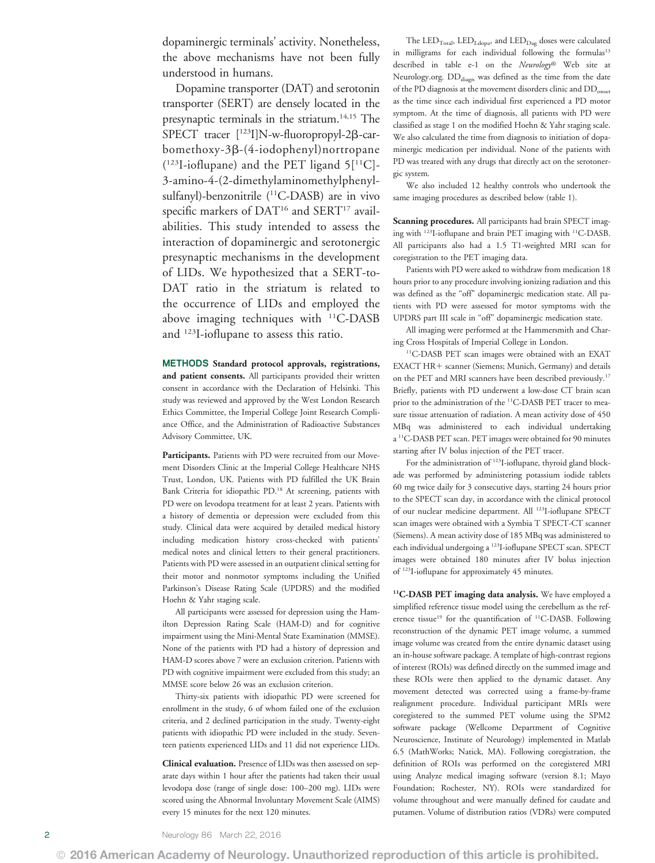dopaminergic terminals' activity. Nonetheless, the above mechanisms have not been fully understood in humans.

Dopamine transporter (DAT) and serotonin transporter (SERT) are densely located in the presynaptic terminals in the striatum.14,15 The SPECT tracer  $[$ <sup>123</sup>I]N-w-fluoropropyl-2 $\beta$ -carbomethoxy-3b-(4-iodophenyl)nortropane ( 123I-ioflupane) and the PET ligand 5[11C]- 3-amino-4-(2-dimethylaminomethylphenylsulfanyl)-benzonitrile (<sup>11</sup>C-DASB) are in vivo specific markers of DAT<sup>16</sup> and SERT<sup>17</sup> availabilities. This study intended to assess the interaction of dopaminergic and serotonergic presynaptic mechanisms in the development of LIDs. We hypothesized that a SERT-to-DAT ratio in the striatum is related to the occurrence of LIDs and employed the above imaging techniques with <sup>11</sup>C-DASB and 123I-ioflupane to assess this ratio.

METHODS Standard protocol approvals, registrations, and patient consents. All participants provided their written consent in accordance with the Declaration of Helsinki. This study was reviewed and approved by the West London Research Ethics Committee, the Imperial College Joint Research Compliance Office, and the Administration of Radioactive Substances Advisory Committee, UK.

Participants. Patients with PD were recruited from our Movement Disorders Clinic at the Imperial College Healthcare NHS Trust, London, UK. Patients with PD fulfilled the UK Brain Bank Criteria for idiopathic PD.18 At screening, patients with PD were on levodopa treatment for at least 2 years. Patients with a history of dementia or depression were excluded from this study. Clinical data were acquired by detailed medical history including medication history cross-checked with patients' medical notes and clinical letters to their general practitioners. Patients with PD were assessed in an outpatient clinical setting for their motor and nonmotor symptoms including the Unified Parkinson's Disease Rating Scale (UPDRS) and the modified Hoehn & Yahr staging scale.

All participants were assessed for depression using the Hamilton Depression Rating Scale (HAM-D) and for cognitive impairment using the Mini-Mental State Examination (MMSE). None of the patients with PD had a history of depression and HAM-D scores above 7 were an exclusion criterion. Patients with PD with cognitive impairment were excluded from this study; an MMSE score below 26 was an exclusion criterion.

Thirty-six patients with idiopathic PD were screened for enrollment in the study, 6 of whom failed one of the exclusion criteria, and 2 declined participation in the study. Twenty-eight patients with idiopathic PD were included in the study. Seventeen patients experienced LIDs and 11 did not experience LIDs.

Clinical evaluation. Presence of LIDs was then assessed on separate days within 1 hour after the patients had taken their usual levodopa dose (range of single dose: 100–200 mg). LIDs were scored using the Abnormal Involuntary Movement Scale (AIMS) every 15 minutes for the next 120 minutes.

The  $\mathrm{LED_{Total}},$   $\mathrm{LED_{Ldopa}},$  and  $\mathrm{LED_{Dag}}$  doses were calculated in milligrams for each individual following the formulas<sup>13</sup> described in table e-1 on the Neurology® Web site at [Neurology.org.](http://neurology.org/lookup/doi/10.1212/WNL.0000000000002494) DD<sub>diagn</sub> was defined as the time from the date of the PD diagnosis at the movement disorders clinic and DDonset as the time since each individual first experienced a PD motor symptom. At the time of diagnosis, all patients with PD were classified as stage 1 on the modified Hoehn & Yahr staging scale. We also calculated the time from diagnosis to initiation of dopaminergic medication per individual. None of the patients with PD was treated with any drugs that directly act on the serotonergic system.

We also included 12 healthy controls who undertook the same imaging procedures as described below (table 1).

Scanning procedures. All participants had brain SPECT imaging with 123I-ioflupane and brain PET imaging with 11C-DASB. All participants also had a 1.5 T1-weighted MRI scan for coregistration to the PET imaging data.

Patients with PD were asked to withdraw from medication 18 hours prior to any procedure involving ionizing radiation and this was defined as the "off" dopaminergic medication state. All patients with PD were assessed for motor symptoms with the UPDRS part III scale in "off" dopaminergic medication state.

All imaging were performed at the Hammersmith and Charing Cross Hospitals of Imperial College in London.

11C-DASB PET scan images were obtained with an EXAT EXACT HR+ scanner (Siemens; Munich, Germany) and details on the PET and MRI scanners have been described previously.17 Briefly, patients with PD underwent a low-dose CT brain scan prior to the administration of the 11C-DASB PET tracer to measure tissue attenuation of radiation. A mean activity dose of 450 MBq was administered to each individual undertaking a 11C-DASB PET scan. PET images were obtained for 90 minutes starting after IV bolus injection of the PET tracer.

For the administration of <sup>123</sup>I-ioflupane, thyroid gland blockade was performed by administering potassium iodide tablets 60 mg twice daily for 3 consecutive days, starting 24 hours prior to the SPECT scan day, in accordance with the clinical protocol of our nuclear medicine department. All 123I-ioflupane SPECT scan images were obtained with a Symbia T SPECT-CT scanner (Siemens). A mean activity dose of 185 MBq was administered to each individual undergoing a 123I-ioflupane SPECT scan. SPECT images were obtained 180 minutes after IV bolus injection of 123I-ioflupane for approximately 45 minutes.

<sup>11</sup>C-DASB PET imaging data analysis. We have employed a simplified reference tissue model using the cerebellum as the reference tissue<sup>19</sup> for the quantification of <sup>11</sup>C-DASB. Following reconstruction of the dynamic PET image volume, a summed image volume was created from the entire dynamic dataset using an in-house software package. A template of high-contrast regions of interest (ROIs) was defined directly on the summed image and these ROIs were then applied to the dynamic dataset. Any movement detected was corrected using a frame-by-frame realignment procedure. Individual participant MRIs were coregistered to the summed PET volume using the SPM2 software package (Wellcome Department of Cognitive Neuroscience, Institute of Neurology) implemented in Matlab 6.5 (MathWorks; Natick, MA). Following coregistration, the definition of ROIs was performed on the coregistered MRI using Analyze medical imaging software (version 8.1; Mayo Foundation; Rochester, NY). ROIs were standardized for volume throughout and were manually defined for caudate and putamen. Volume of distribution ratios (VDRs) were computed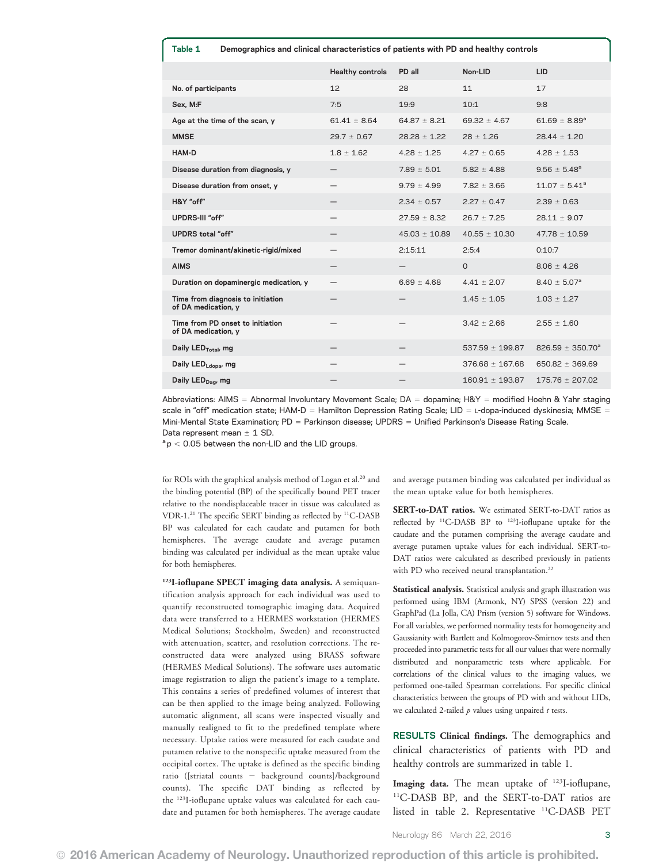| Table 1<br>Demographics and clinical characteristics of patients with PD and healthy controls |                               |                   |                     |                         |  |  |  |
|-----------------------------------------------------------------------------------------------|-------------------------------|-------------------|---------------------|-------------------------|--|--|--|
|                                                                                               | <b>Healthy controls</b>       | PD all            | Non-LID             | <b>LID</b>              |  |  |  |
| No. of participants                                                                           | 12                            | 28                | 11                  | 17                      |  |  |  |
| Sex, M:F                                                                                      | 7:5                           | 19:9              | 10:1                | 9:8                     |  |  |  |
| Age at the time of the scan, y                                                                | $61.41 \pm 8.64$              | $64.87 \pm 8.21$  | $69.32 \pm 4.67$    | $61.69 \pm 8.89^a$      |  |  |  |
| <b>MMSE</b>                                                                                   | $29.7 \pm 0.67$               | $28.28 \pm 1.22$  | $28 \pm 1.26$       | $28.44 \pm 1.20$        |  |  |  |
| HAM-D                                                                                         | $1.8 \pm 1.62$                | $4.28 \pm 1.25$   | $4.27 \pm 0.65$     | $4.28 \pm 1.53$         |  |  |  |
| Disease duration from diagnosis, y                                                            | $\qquad \qquad$               | $7.89 \pm 5.01$   | $5.82 \pm 4.88$     | $9.56 \pm 5.48^{\circ}$ |  |  |  |
| Disease duration from onset, y                                                                |                               | $9.79 \pm 4.99$   | $7.82 \pm 3.66$     | $11.07 \pm 5.41^a$      |  |  |  |
| H&Y "off"                                                                                     |                               | $2.34 \pm 0.57$   | $2.27 \pm 0.47$     | $2.39 \pm 0.63$         |  |  |  |
| UPDRS-III "off"                                                                               |                               | $27.59 \pm 8.32$  | $26.7 \pm 7.25$     | $28.11 \pm 9.07$        |  |  |  |
| <b>UPDRS</b> total "off"                                                                      |                               | $45.03 \pm 10.89$ | $40.55 \pm 10.30$   | $47.78 \pm 10.59$       |  |  |  |
| Tremor dominant/akinetic-rigid/mixed                                                          |                               | 2:15:11           | 2:5:4               | 0:10:7                  |  |  |  |
| <b>AIMS</b>                                                                                   | $\overbrace{\phantom{12332}}$ |                   | $\Omega$            | $8.06 \pm 4.26$         |  |  |  |
| Duration on dopaminergic medication, y                                                        |                               | $6.69 \pm 4.68$   | $4.41 \pm 2.07$     | $8.40 \pm 5.07^{\circ}$ |  |  |  |
| Time from diagnosis to initiation<br>of DA medication, y                                      |                               |                   | $1.45 \pm 1.05$     | $1.03 \pm 1.27$         |  |  |  |
| Time from PD onset to initiation<br>of DA medication, y                                       |                               |                   | $3.42 \pm 2.66$     | $2.55 \pm 1.60$         |  |  |  |
| Daily LED <sub>Total</sub> , mg                                                               |                               |                   | $537.59 \pm 199.87$ | $826.59 \pm 350.70^a$   |  |  |  |
| Daily LED <sub>Ldopar</sub> mg                                                                |                               |                   | $376.68 \pm 167.68$ | $650.82 \pm 369.69$     |  |  |  |
| Daily LED <sub>Dag</sub> , mg                                                                 |                               |                   | $160.91 \pm 193.87$ | $175.76 \pm 207.02$     |  |  |  |

Abbreviations: AIMS = Abnormal Involuntary Movement Scale;  $DA =$  dopamine; H&Y = modified Hoehn & Yahr staging scale in "off" medication state; HAM-D = Hamilton Depression Rating Scale; LID = L-dopa-induced dyskinesia; MMSE = Mini-Mental State Examination; PD = Parkinson disease; UPDRS = Unified Parkinson's Disease Rating Scale. Data represent mean  $\pm$  1 SD.

 $a_p < 0.05$  between the non-LID and the LID groups.

for ROIs with the graphical analysis method of Logan et al.<sup>20</sup> and the binding potential (BP) of the specifically bound PET tracer relative to the nondisplaceable tracer in tissue was calculated as VDR-1.21 The specific SERT binding as reflected by 11C-DASB BP was calculated for each caudate and putamen for both hemispheres. The average caudate and average putamen binding was calculated per individual as the mean uptake value for both hemispheres.

123I-ioflupane SPECT imaging data analysis. A semiquantification analysis approach for each individual was used to quantify reconstructed tomographic imaging data. Acquired data were transferred to a HERMES workstation (HERMES Medical Solutions; Stockholm, Sweden) and reconstructed with attenuation, scatter, and resolution corrections. The reconstructed data were analyzed using BRASS software (HERMES Medical Solutions). The software uses automatic image registration to align the patient's image to a template. This contains a series of predefined volumes of interest that can be then applied to the image being analyzed. Following automatic alignment, all scans were inspected visually and manually realigned to fit to the predefined template where necessary. Uptake ratios were measured for each caudate and putamen relative to the nonspecific uptake measured from the occipital cortex. The uptake is defined as the specific binding ratio ([striatal counts - background counts]/background counts). The specific DAT binding as reflected by the 123I-ioflupane uptake values was calculated for each caudate and putamen for both hemispheres. The average caudate

and average putamen binding was calculated per individual as the mean uptake value for both hemispheres.

SERT-to-DAT ratios. We estimated SERT-to-DAT ratios as reflected by 11C-DASB BP to 123I-ioflupane uptake for the caudate and the putamen comprising the average caudate and average putamen uptake values for each individual. SERT-to-DAT ratios were calculated as described previously in patients with PD who received neural transplantation.<sup>22</sup>

Statistical analysis. Statistical analysis and graph illustration was performed using IBM (Armonk, NY) SPSS (version 22) and GraphPad (La Jolla, CA) Prism (version 5) software for Windows. For all variables, we performed normality tests for homogeneity and Gaussianity with Bartlett and Kolmogorov-Smirnov tests and then proceeded into parametric tests for all our values that were normally distributed and nonparametric tests where applicable. For correlations of the clinical values to the imaging values, we performed one-tailed Spearman correlations. For specific clinical characteristics between the groups of PD with and without LIDs, we calculated 2-tailed  $p$  values using unpaired  $t$  tests.

RESULTS Clinical findings. The demographics and clinical characteristics of patients with PD and healthy controls are summarized in table 1.

Imaging data. The mean uptake of <sup>123</sup>I-ioflupane, 11C-DASB BP, and the SERT-to-DAT ratios are listed in table 2. Representative <sup>11</sup>C-DASB PET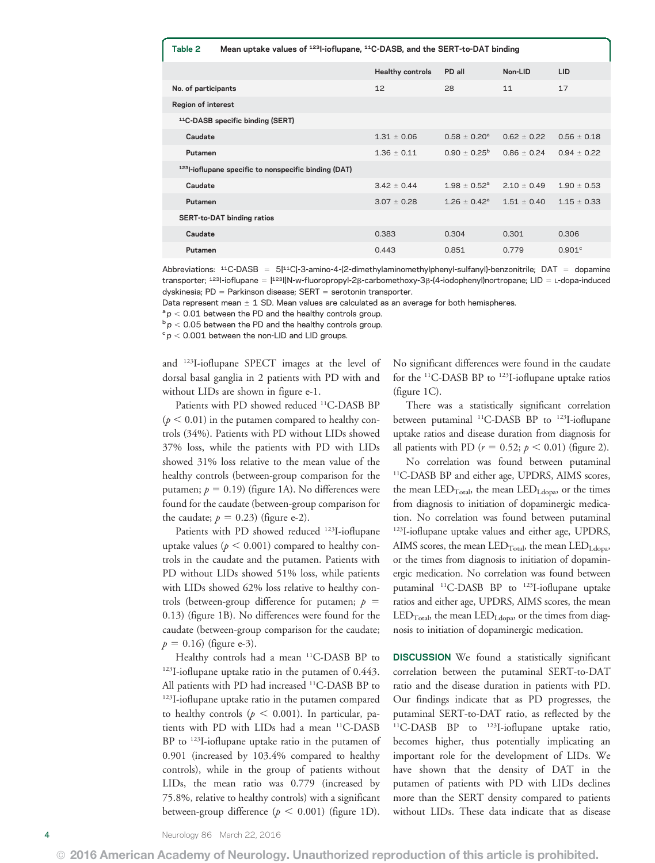Table 2 Mean uptake values of <sup>123</sup>I-ioflupane, <sup>11</sup>C-DASB, and the SERT-to-DAT binding

|                                                      | <b>Healthy controls</b> | PD all                       | Non-LID         | LID.                 |
|------------------------------------------------------|-------------------------|------------------------------|-----------------|----------------------|
| No. of participants                                  | 12                      | 28                           | 11              | 17                   |
| <b>Region of interest</b>                            |                         |                              |                 |                      |
| <sup>11</sup> C-DASB specific binding (SERT)         |                         |                              |                 |                      |
| Caudate                                              | $1.31 \pm 0.06$         | $0.58 \pm 0.20^a$            | $0.62 \pm 0.22$ | $0.56 \pm 0.18$      |
| Putamen                                              | $1.36 \pm 0.11$         | $0.90 \pm 0.25^b$            | $0.86 \pm 0.24$ | $0.94 \pm 0.22$      |
| 1231-ioflupane specific to nonspecific binding (DAT) |                         |                              |                 |                      |
| Caudate                                              | $3.42 \pm 0.44$         | $1.98 \pm 0.52$ <sup>a</sup> | $2.10 \pm 0.49$ | $1.90 \pm 0.53$      |
| Putamen                                              | $3.07 \pm 0.28$         | $1.26 \pm 0.42^a$            | $1.51 \pm 0.40$ | $1.15 \pm 0.33$      |
| <b>SERT-to-DAT binding ratios</b>                    |                         |                              |                 |                      |
| Caudate                                              | 0.383                   | 0.304                        | 0.301           | 0.306                |
| Putamen                                              | 0.443                   | 0.851                        | 0.779           | $0.901$ <sup>c</sup> |
|                                                      |                         |                              |                 |                      |

Abbreviations:  $11$ C-DASB =  $5[^{11}$ C]-3-amino-4-(2-dimethylaminomethylphenyl-sulfanyl)-benzonitrile; DAT = dopamine transporter; 123I-ioflupane = [123|]N-w-fluoropropyl-2ß-carbomethoxy-3ß-(4-iodophenyl)nortropane; LID = ∟-dopa-induced dyskinesia;  $PD =$  Parkinson disease; SERT = serotonin transporter.

Data represent mean  $\pm$  1 SD. Mean values are calculated as an average for both hemispheres.

 $a_p < 0.01$  between the PD and the healthy controls group.

 $^{\rm b}$  p  $<$  0.05 between the PD and the healthy controls group.

 $\degree$ p < 0.001 between the non-LID and LID groups.

and 123I-ioflupane SPECT images at the level of dorsal basal ganglia in 2 patients with PD with and without LIDs are shown in figure e-1.

Patients with PD showed reduced <sup>11</sup>C-DASB BP  $(p < 0.01)$  in the putamen compared to healthy controls (34%). Patients with PD without LIDs showed 37% loss, while the patients with PD with LIDs showed 31% loss relative to the mean value of the healthy controls (between-group comparison for the putamen;  $p = 0.19$ ) (figure 1A). No differences were found for the caudate (between-group comparison for the caudate;  $p = 0.23$ ) (figure e-2).

Patients with PD showed reduced <sup>123</sup>I-ioflupane uptake values ( $p < 0.001$ ) compared to healthy controls in the caudate and the putamen. Patients with PD without LIDs showed 51% loss, while patients with LIDs showed 62% loss relative to healthy controls (between-group difference for putamen;  $p =$ 0.13) (figure 1B). No differences were found for the caudate (between-group comparison for the caudate;  $p = 0.16$ ) (figure e-3).

Healthy controls had a mean <sup>11</sup>C-DASB BP to <sup>123</sup>I-ioflupane uptake ratio in the putamen of 0.443. All patients with PD had increased <sup>11</sup>C-DASB BP to <sup>123</sup>I-ioflupane uptake ratio in the putamen compared to healthy controls ( $p < 0.001$ ). In particular, patients with PD with LIDs had a mean 11C-DASB BP to <sup>123</sup>I-ioflupane uptake ratio in the putamen of 0.901 (increased by 103.4% compared to healthy controls), while in the group of patients without LIDs, the mean ratio was 0.779 (increased by 75.8%, relative to healthy controls) with a significant between-group difference ( $p < 0.001$ ) (figure 1D).

No significant differences were found in the caudate for the 11C-DASB BP to 123I-ioflupane uptake ratios (figure 1C).

There was a statistically significant correlation between putaminal <sup>11</sup>C-DASB BP to <sup>123</sup>I-ioflupane uptake ratios and disease duration from diagnosis for all patients with PD ( $r = 0.52$ ;  $p < 0.01$ ) (figure 2).

No correlation was found between putaminal <sup>11</sup>C-DASB BP and either age, UPDRS, AIMS scores, the mean  $LED_{Total}$ , the mean  $LED_{Ldopa}$ , or the times from diagnosis to initiation of dopaminergic medication. No correlation was found between putaminal <sup>123</sup>I-ioflupane uptake values and either age, UPDRS, AIMS scores, the mean  $LED_{Total}$ , the mean  $LED_{Ldopa}$ , or the times from diagnosis to initiation of dopaminergic medication. No correlation was found between putaminal <sup>11</sup>C-DASB BP to <sup>123</sup>I-ioflupane uptake ratios and either age, UPDRS, AIMS scores, the mean  $LED<sub>Total</sub>$ , the mean  $LED<sub>Ldopa</sub>$ , or the times from diagnosis to initiation of dopaminergic medication.

DISCUSSION We found a statistically significant correlation between the putaminal SERT-to-DAT ratio and the disease duration in patients with PD. Our findings indicate that as PD progresses, the putaminal SERT-to-DAT ratio, as reflected by the <sup>11</sup>C-DASB BP to <sup>123</sup>I-ioflupane uptake ratio, becomes higher, thus potentially implicating an important role for the development of LIDs. We have shown that the density of DAT in the putamen of patients with PD with LIDs declines more than the SERT density compared to patients without LIDs. These data indicate that as disease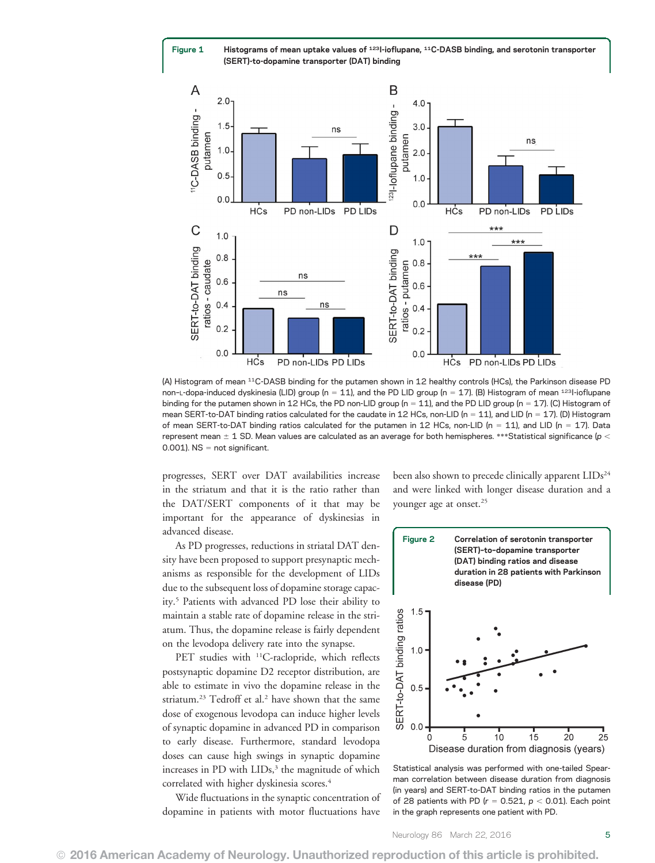Figure 1 Histograms of mean uptake values of <sup>123</sup>I-ioflupane, <sup>11</sup>C-DASB binding, and serotonin transporter (SERT)-to-dopamine transporter (DAT) binding



(A) Histogram of mean 11C-DASB binding for the putamen shown in 12 healthy controls (HCs), the Parkinson disease PD non-L-dopa-induced dyskinesia (LID) group (n = 11), and the PD LID group (n = 17). (B) Histogram of mean <sup>123</sup>I-ioflupane binding for the putamen shown in 12 HCs, the PD non-LID group (n = 11), and the PD LID group (n = 17). (C) Histogram of mean SERT-to-DAT binding ratios calculated for the caudate in 12 HCs, non-LID (n = 11), and LID (n = 17). (D) Histogram of mean SERT-to-DAT binding ratios calculated for the putamen in 12 HCs, non-LID (n = 11), and LID (n = 17). Data represent mean  $\pm$  1 SD. Mean values are calculated as an average for both hemispheres. \*\*\*Statistical significance (p <  $0.001$ ). NS = not significant.

progresses, SERT over DAT availabilities increase in the striatum and that it is the ratio rather than the DAT/SERT components of it that may be important for the appearance of dyskinesias in advanced disease.

As PD progresses, reductions in striatal DAT density have been proposed to support presynaptic mechanisms as responsible for the development of LIDs due to the subsequent loss of dopamine storage capacity.5 Patients with advanced PD lose their ability to maintain a stable rate of dopamine release in the striatum. Thus, the dopamine release is fairly dependent on the levodopa delivery rate into the synapse.

PET studies with <sup>11</sup>C-raclopride, which reflects postsynaptic dopamine D2 receptor distribution, are able to estimate in vivo the dopamine release in the striatum.<sup>23</sup> Tedroff et al.<sup>2</sup> have shown that the same dose of exogenous levodopa can induce higher levels of synaptic dopamine in advanced PD in comparison to early disease. Furthermore, standard levodopa doses can cause high swings in synaptic dopamine increases in  $PD$  with  $LIDs<sub>1</sub><sup>3</sup>$  the magnitude of which correlated with higher dyskinesia scores.<sup>4</sup>

Wide fluctuations in the synaptic concentration of dopamine in patients with motor fluctuations have

been also shown to precede clinically apparent LIDs<sup>24</sup> and were linked with longer disease duration and a younger age at onset.<sup>25</sup>



Statistical analysis was performed with one-tailed Spearman correlation between disease duration from diagnosis (in years) and SERT-to-DAT binding ratios in the putamen of 28 patients with PD ( $r = 0.521$ ,  $p < 0.01$ ). Each point in the graph represents one patient with PD.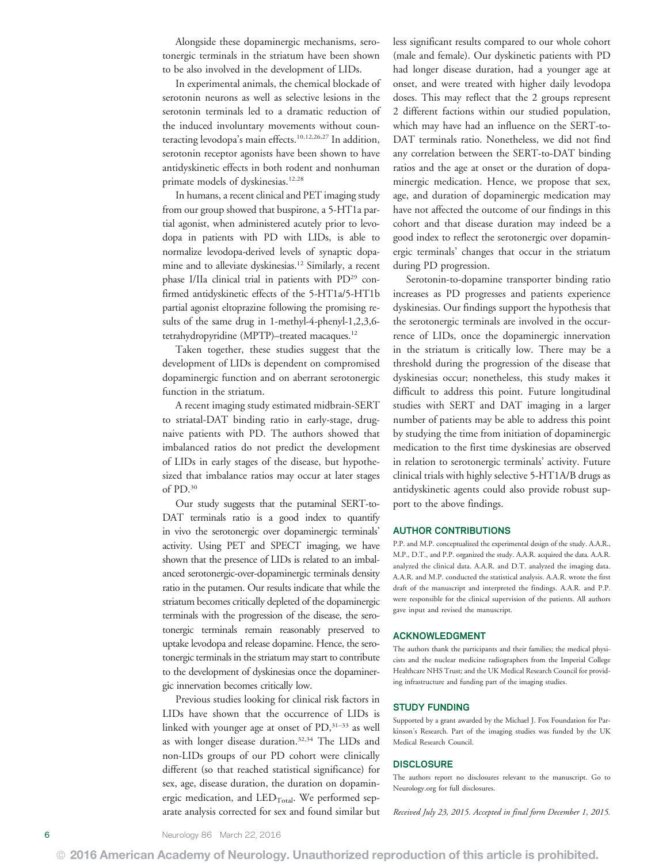Alongside these dopaminergic mechanisms, serotonergic terminals in the striatum have been shown to be also involved in the development of LIDs.

In experimental animals, the chemical blockade of serotonin neurons as well as selective lesions in the serotonin terminals led to a dramatic reduction of the induced involuntary movements without counteracting levodopa's main effects.10,12,26,27 In addition, serotonin receptor agonists have been shown to have antidyskinetic effects in both rodent and nonhuman primate models of dyskinesias.<sup>12,28</sup>

In humans, a recent clinical and PET imaging study from our group showed that buspirone, a 5-HT1a partial agonist, when administered acutely prior to levodopa in patients with PD with LIDs, is able to normalize levodopa-derived levels of synaptic dopamine and to alleviate dyskinesias.12 Similarly, a recent phase I/IIa clinical trial in patients with PD<sup>29</sup> confirmed antidyskinetic effects of the 5-HT1a/5-HT1b partial agonist eltoprazine following the promising results of the same drug in 1-methyl-4-phenyl-1,2,3,6 tetrahydropyridine (MPTP)–treated macaques.12

Taken together, these studies suggest that the development of LIDs is dependent on compromised dopaminergic function and on aberrant serotonergic function in the striatum.

A recent imaging study estimated midbrain-SERT to striatal-DAT binding ratio in early-stage, drugnaive patients with PD. The authors showed that imbalanced ratios do not predict the development of LIDs in early stages of the disease, but hypothesized that imbalance ratios may occur at later stages of PD.30

Our study suggests that the putaminal SERT-to-DAT terminals ratio is a good index to quantify in vivo the serotonergic over dopaminergic terminals' activity. Using PET and SPECT imaging, we have shown that the presence of LIDs is related to an imbalanced serotonergic-over-dopaminergic terminals density ratio in the putamen. Our results indicate that while the striatum becomes critically depleted of the dopaminergic terminals with the progression of the disease, the serotonergic terminals remain reasonably preserved to uptake levodopa and release dopamine. Hence, the serotonergic terminals in the striatum may start to contribute to the development of dyskinesias once the dopaminergic innervation becomes critically low.

Previous studies looking for clinical risk factors in LIDs have shown that the occurrence of LIDs is linked with younger age at onset of PD,31–<sup>33</sup> as well as with longer disease duration.<sup>32,34</sup> The LIDs and non-LIDs groups of our PD cohort were clinically different (so that reached statistical significance) for sex, age, disease duration, the duration on dopaminergic medication, and LED<sub>Total</sub>. We performed separate analysis corrected for sex and found similar but less significant results compared to our whole cohort (male and female). Our dyskinetic patients with PD had longer disease duration, had a younger age at onset, and were treated with higher daily levodopa doses. This may reflect that the 2 groups represent 2 different factions within our studied population, which may have had an influence on the SERT-to-DAT terminals ratio. Nonetheless, we did not find any correlation between the SERT-to-DAT binding ratios and the age at onset or the duration of dopaminergic medication. Hence, we propose that sex, age, and duration of dopaminergic medication may have not affected the outcome of our findings in this cohort and that disease duration may indeed be a good index to reflect the serotonergic over dopaminergic terminals' changes that occur in the striatum during PD progression.

Serotonin-to-dopamine transporter binding ratio increases as PD progresses and patients experience dyskinesias. Our findings support the hypothesis that the serotonergic terminals are involved in the occurrence of LIDs, once the dopaminergic innervation in the striatum is critically low. There may be a threshold during the progression of the disease that dyskinesias occur; nonetheless, this study makes it difficult to address this point. Future longitudinal studies with SERT and DAT imaging in a larger number of patients may be able to address this point by studying the time from initiation of dopaminergic medication to the first time dyskinesias are observed in relation to serotonergic terminals' activity. Future clinical trials with highly selective 5-HT1A/B drugs as antidyskinetic agents could also provide robust support to the above findings.

#### AUTHOR CONTRIBUTIONS

P.P. and M.P. conceptualized the experimental design of the study. A.A.R., M.P., D.T., and P.P. organized the study. A.A.R. acquired the data. A.A.R. analyzed the clinical data. A.A.R. and D.T. analyzed the imaging data. A.A.R. and M.P. conducted the statistical analysis. A.A.R. wrote the first draft of the manuscript and interpreted the findings. A.A.R. and P.P. were responsible for the clinical supervision of the patients. All authors gave input and revised the manuscript.

#### ACKNOWLEDGMENT

The authors thank the participants and their families; the medical physicists and the nuclear medicine radiographers from the Imperial College Healthcare NHS Trust; and the UK Medical Research Council for providing infrastructure and funding part of the imaging studies.

#### STUDY FUNDING

Supported by a grant awarded by the Michael J. Fox Foundation for Parkinson's Research. Part of the imaging studies was funded by the UK Medical Research Council.

#### **DISCLOSURE**

The authors report no disclosures relevant to the manuscript. Go to [Neurology.org](http://neurology.org/lookup/doi/10.1212/WNL.0000000000002494) for full disclosures.

Received July 23, 2015. Accepted in final form December 1, 2015.